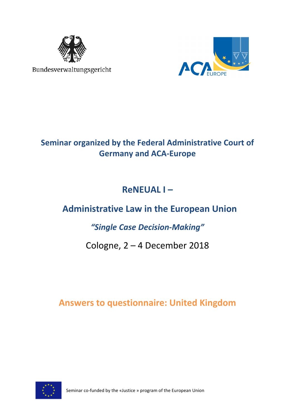

Bundesverwaltungsgericht



## **Seminar organized by the Federal Administrative Court of Germany and ACA-Europe**

# **ReNEUAL I –**

# **Administrative Law in the European Union**

## *"Single Case Decision-Making"*

## Cologne, 2 – 4 December 2018

## **Answers to questionnaire: United Kingdom**

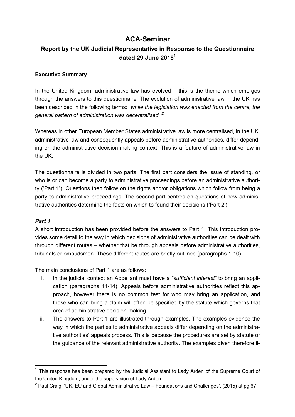## **ACA-Seminar**

## **Report by the UK Judicial Representative in Response to the Questionnaire dated 29 June 2018<sup>1</sup>**

#### **Executive Summary**

In the United Kingdom, administrative law has evolved – this is the theme which emerges through the answers to this questionnaire. The evolution of administrative law in the UK has been described in the following terms: *"while the legislation was enacted from the centre, the general pattern of administration was decentralised."<sup>2</sup>*

Whereas in other European Member States administrative law is more centralised, in the UK, administrative law and consequently appeals before administrative authorities, differ depending on the administrative decision-making context. This is a feature of administrative law in the UK.

The questionnaire is divided in two parts. The first part considers the issue of standing, or who is or can become a party to administrative proceedings before an administrative authority ('Part 1'). Questions then follow on the rights and/or obligations which follow from being a party to administrative proceedings. The second part centres on questions of how administrative authorities determine the facts on which to found their decisions ('Part 2').

#### *Part 1*

l

A short introduction has been provided before the answers to Part 1. This introduction provides some detail to the way in which decisions of administrative authorities can be dealt with through different routes – whether that be through appeals before administrative authorities, tribunals or ombudsmen. These different routes are briefly outlined (paragraphs 1-10).

The main conclusions of Part 1 are as follows:

- i. In the judicial context an Appellant must have a *"sufficient interest"* to bring an application (paragraphs 11-14). Appeals before administrative authorities reflect this approach, however there is no common test for who may bring an application, and those who can bring a claim will often be specified by the statute which governs that area of administrative decision-making.
- ii. The answers to Part 1 are illustrated through examples. The examples evidence the way in which the parties to administrative appeals differ depending on the administrative authorities' appeals process. This is because the procedures are set by statute or the guidance of the relevant administrative authority. The examples given therefore il-

 $1$  This response has been prepared by the Judicial Assistant to Lady Arden of the Supreme Court of the United Kingdom, under the supervision of Lady Arden.

<sup>&</sup>lt;sup>2</sup> Paul Craig, 'UK, EU and Global Administrative Law – Foundations and Challenges', (2015) at pg 67.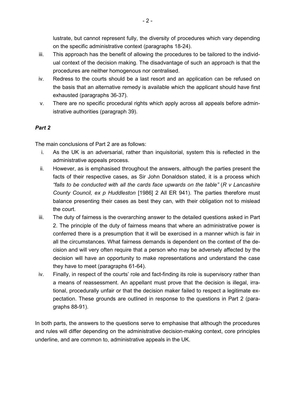lustrate, but cannot represent fully, the diversity of procedures which vary depending on the specific administrative context (paragraphs 18-24).

- iii. This approach has the benefit of allowing the procedures to be tailored to the individual context of the decision making. The disadvantage of such an approach is that the procedures are neither homogenous nor centralised.
- iv. Redress to the courts should be a last resort and an application can be refused on the basis that an alternative remedy is available which the applicant should have first exhausted (paragraphs 36-37).
- v. There are no specific procedural rights which apply across all appeals before administrative authorities (paragraph 39).

## *Part 2*

The main conclusions of Part 2 are as follows:

- i. As the UK is an adversarial, rather than inquisitorial, system this is reflected in the administrative appeals process.
- ii. However, as is emphasised throughout the answers, although the parties present the facts of their respective cases, as Sir John Donaldson stated, it is a process which *"falls to be conducted with all the cards face upwards on the table"* (*R v Lancashire County Council, ex p Huddleston* [1986] 2 All ER 941). The parties therefore must balance presenting their cases as best they can, with their obligation not to mislead the court.
- iii. The duty of fairness is the overarching answer to the detailed questions asked in Part 2. The principle of the duty of fairness means that where an administrative power is conferred there is a presumption that it will be exercised in a manner which is fair in all the circumstances. What fairness demands is dependent on the context of the decision and will very often require that a person who may be adversely affected by the decision will have an opportunity to make representations and understand the case they have to meet (paragraphs 61-64).
- iv. Finally, in respect of the courts' role and fact-finding its role is supervisory rather than a means of reassessment. An appellant must prove that the decision is illegal, irrational, procedurally unfair or that the decision maker failed to respect a legitimate expectation. These grounds are outlined in response to the questions in Part 2 (paragraphs 88-91).

In both parts, the answers to the questions serve to emphasise that although the procedures and rules will differ depending on the administrative decision-making context, core principles underline, and are common to, administrative appeals in the UK.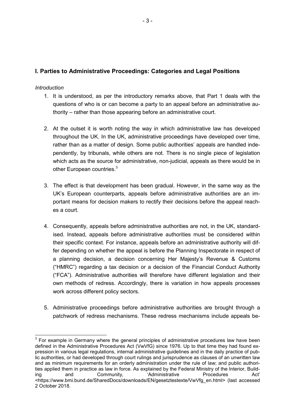## **I. Parties to Administrative Proceedings: Categories and Legal Positions**

#### *Introduction*

l,

- 1. It is understood, as per the introductory remarks above, that Part 1 deals with the questions of who is or can become a party to an appeal before an administrative authority – rather than those appearing before an administrative court.
- 2. At the outset it is worth noting the way in which administrative law has developed throughout the UK. In the UK, administrative proceedings have developed over time, rather than as a matter of design. Some public authorities' appeals are handled independently, by tribunals, while others are not. There is no single piece of legislation which acts as the source for administrative, non-judicial, appeals as there would be in other European countries. $3$
- 3. The effect is that development has been gradual. However, in the same way as the UK's European counterparts, appeals before administrative authorities are an important means for decision makers to rectify their decisions before the appeal reaches a court.
- 4. Consequently, appeals before administrative authorities are not, in the UK, standardised. Instead, appeals before administrative authorities must be considered within their specific context. For instance, appeals before an administrative authority will differ depending on whether the appeal is before the Planning Inspectorate in respect of a planning decision, a decision concerning Her Majesty's Revenue & Customs ("HMRC") regarding a tax decision or a decision of the Financial Conduct Authority ("FCA"). Administrative authorities will therefore have different legislation and their own methods of redress. Accordingly, there is variation in how appeals processes work across different policy sectors.
- 5. Administrative proceedings before administrative authorities are brought through a patchwork of redress mechanisms. These redress mechanisms include appeals be-

 $3$  For example in Germany where the general principles of administrative procedures law have been defined in the Administrative Procedures Act (VwVfG) since 1976. Up to that time they had found expression in various legal regulations, internal administrative guidelines and in the daily practice of public authorities, or had developed through court rulings and jurisprudence as clauses of an unwritten law and as minimum requirements for an orderly administration under the rule of law; and public authorities applied them in practice as law in force. As explained by the Federal Ministry of the Interior, Building and Community, 'Administrative Procedures Act' <https://www.bmi.bund.de/SharedDocs/downloads/EN/gesetztestexte/VwVfg\_en.html> (last accessed 2 October 2018.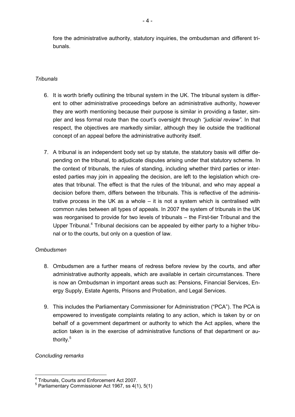fore the administrative authority, statutory inquiries, the ombudsman and different tribunals.

#### *Tribunals*

- 6. It is worth briefly outlining the tribunal system in the UK. The tribunal system is different to other administrative proceedings before an administrative authority, however they are worth mentioning because their purpose is similar in providing a faster, simpler and less formal route than the court's oversight through *"judicial review"*. In that respect, the objectives are markedly similar, although they lie outside the traditional concept of an appeal before the administrative authority itself.
- 7. A tribunal is an independent body set up by statute, the statutory basis will differ depending on the tribunal, to adjudicate disputes arising under that statutory scheme. In the context of tribunals, the rules of standing, including whether third parties or interested parties may join in appealing the decision, are left to the legislation which creates that tribunal. The effect is that the rules of the tribunal, and who may appeal a decision before them, differs between the tribunals. This is reflective of the administrative process in the UK as a whole – it is not a system which is centralised with common rules between all types of appeals. In 2007 the system of tribunals in the UK was reorganised to provide for two levels of tribunals – the First-tier Tribunal and the Upper Tribunal.<sup>4</sup> Tribunal decisions can be appealed by either party to a higher tribunal or to the courts, but only on a question of law.

#### *Ombudsmen*

- 8. Ombudsmen are a further means of redress before review by the courts, and after administrative authority appeals, which are available in certain circumstances. There is now an Ombudsman in important areas such as: Pensions, Financial Services, Energy Supply, Estate Agents, Prisons and Probation, and Legal Services.
- 9. This includes the Parliamentary Commissioner for Administration ("PCA"). The PCA is empowered to investigate complaints relating to any action, which is taken by or on behalf of a government department or authority to which the Act applies, where the action taken is in the exercise of administrative functions of that department or authority.<sup>5</sup>

#### *Concluding remarks*

l,

<sup>&</sup>lt;sup>4</sup> Tribunals, Courts and Enforcement Act 2007.

<sup>5</sup> Parliamentary Commissioner Act 1967, ss 4(1), 5(1)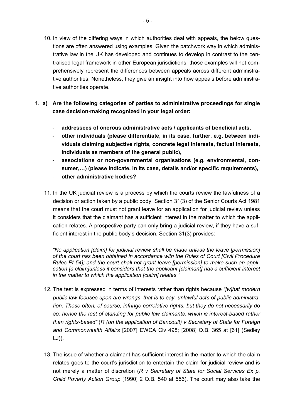- 10. In view of the differing ways in which authorities deal with appeals, the below questions are often answered using examples. Given the patchwork way in which administrative law in the UK has developed and continues to develop in contrast to the centralised legal framework in other European jurisdictions, those examples will not comprehensively represent the differences between appeals across different administrative authorities. Nonetheless, they give an insight into how appeals before administrative authorities operate.
- **1. a) Are the following categories of parties to administrative proceedings for single case decision-making recognized in your legal order:** 
	- **addressees of onerous administrative acts / applicants of beneficial acts,**
	- **other individuals (please differentiate, in its case, further, e.g. between individuals claiming subjective rights, concrete legal interests, factual interests, individuals as members of the general public),**
	- **associations or non-governmental organisations (e.g. environmental, con**sumer,...) (please indicate, in its case, details and/or specific requirements),
	- **other administrative bodies?**
	- 11. In the UK judicial review is a process by which the courts review the lawfulness of a decision or action taken by a public body. Section 31(3) of the Senior Courts Act 1981 means that the court must not grant leave for an application for judicial review unless it considers that the claimant has a sufficient interest in the matter to which the application relates. A prospective party can only bring a judicial review, if they have a sufficient interest in the public body's decision. Section 31(3) provides:

*"No application [claim] for judicial review shall be made unless the leave [permission] of the court has been obtained in accordance with the Rules of Court [Civil Procedure Rules Pt 54]; and the court shall not grant leave [permission] to make such an application [a claim]unless it considers that the applicant [claimant] has a sufficient interest in the matter to which the application [claim] relates."* 

- 12. The test is expressed in terms of interests rather than rights because *"[w]hat modern public law focuses upon are wrongs–that is to say, unlawful acts of public administration. These often, of course, infringe correlative rights, but they do not necessarily do so: hence the test of standing for public law claimants, which is interest-based rather than rights-based"* (*R (on the application of Bancoult) v Secretary of State for Foreign and Commonwealth Affairs* [2007] EWCA Civ 498; [2008] Q.B. 365 at [61] (Sedley LJ)).
- 13. The issue of whether a claimant has sufficient interest in the matter to which the claim relates goes to the court's jurisdiction to entertain the claim for judicial review and is not merely a matter of discretion (*R v Secretary of State for Social Services Ex p. Child Poverty Action Group* [1990] 2 Q.B. 540 at 556). The court may also take the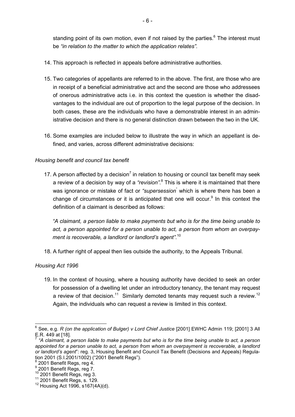standing point of its own motion, even if not raised by the parties. $6$  The interest must be *"in relation to the matter to which the application relates"*.

- 14. This approach is reflected in appeals before administrative authorities.
- 15. Two categories of appellants are referred to in the above. The first, are those who are in receipt of a beneficial administrative act and the second are those who addressees of onerous administrative acts i.e. in this context the question is whether the disadvantages to the individual are out of proportion to the legal purpose of the decision. In both cases, these are the individuals who have a demonstrable interest in an administrative decision and there is no general distinction drawn between the two in the UK.
- 16. Some examples are included below to illustrate the way in which an appellant is defined, and varies, across different administrative decisions:

### *Housing benefit and council tax benefit*

17. A person affected by a decision<sup>7</sup> in relation to housing or council tax benefit may seek a review of a decision by way of a "*revision*".<sup>8</sup> This is where it is maintained that there was ignorance or mistake of fact or *"supersession*" which is where there has been a change of circumstances or it is anticipated that one will occur. $9$  In this context the definition of a claimant is described as follows:

*"A claimant, a person liable to make payments but who is for the time being unable to act, a person appointed for a person unable to act, a person from whom an overpayment is recoverable, a landlord or landlord's agent"*. 10

18. A further right of appeal then lies outside the authority, to the Appeals Tribunal.

## *Housing Act 1996*

l,

19. In the context of housing, where a housing authority have decided to seek an order for possession of a dwelling let under an introductory tenancy, the tenant may request a review of that decision.<sup>11</sup> Similarly demoted tenants may request such a review.<sup>12</sup> Again, the individuals who can request a review is limited in this context.

<sup>6</sup> See, e.g. *R (on the application of Bulger) v Lord Chief Justice* [2001] EWHC Admin 119; [2001] 3 All E.R. 449 at [18].

<sup>7</sup> *"A claimant, a person liable to make payments but who is for the time being unable to act, a person appointed for a person unable to act, a person from whom an overpayment is recoverable, a landlord or landlord's agent*": reg. 3, Housing Benefit and Council Tax Benefit (Decisions and Appeals) Regulation 2001 (S.I.2001/1002) ("2001 Benefit Regs").

 $^8$  2001 Benefit Regs, reg 4.

<sup>9</sup> 2001 Benefit Regs, reg 7.

<sup>10</sup> 2001 Benefit Regs, reg 3.

<sup>11</sup> 2001 Benefit Regs, s. 129.

 $12$  Housing Act 1996, s167(4A)(d).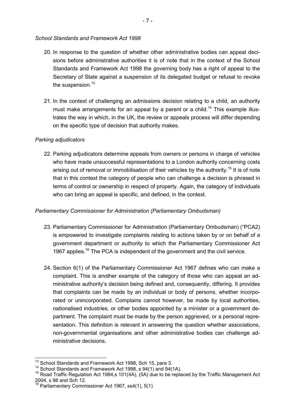#### *School Standards and Framework Act 1998*

- 20. In response to the question of whether other administrative bodies can appeal decisions before administrative authorities it is of note that in the context of the School Standards and Framework Act 1998 the governing body has a right of appeal to the Secretary of State against a suspension of its delegated budget or refusal to revoke the suspension. $13$
- 21. In the context of challenging an admissions decision relating to a child, an authority must make arrangements for an appeal by a parent or a child.<sup>14</sup> This example illustrates the way in which, in the UK, the review or appeals process will differ depending on the specific type of decision that authority makes.

#### *Parking adjudicators*

22. Parking adjudicators determine appeals from owners or persons in charge of vehicles who have made unsuccessful representations to a London authority concerning costs arising out of removal or immobilisation of their vehicles by the authority.<sup>15</sup> It is of note that in this context the category of people who can challenge a decision is phrased in terms of control or ownership in respect of property. Again, the category of individuals who can bring an appeal is specific, and defined, in the context.

#### *Parliamentary Commissioner for Administration (Parliamentary Ombudsman)*

- 23. Parliamentary Commissioner for Administration (Parliamentary Ombudsman) ("PCA2) is empowered to investigate complaints relating to actions taken by or on behalf of a government department or authority to which the Parliamentary Commissioner Act 1967 applies.<sup>16</sup> The PCA is independent of the government and the civil service.
- 24. Section 6(1) of the Parliamentary Commissioner Act 1967 defines who can make a complaint. This is another example of the category of those who can appeal an administrative authority's decision being defined and, consequently, differing. It provides that complaints can be made by an individual or body of persons, whether incorporated or unincorporated. Complains cannot however, be made by local authorities, nationalised industries, or other bodies appointed by a minister or a government department. The complaint must be made by the person aggrieved, or a personal representation. This definition is relevant in answering the question whether associations, non-governmental organisations and other administrative bodies can challenge administrative decisions.

l,

<sup>&</sup>lt;sup>13</sup> School Standards and Framework Act 1998, Sch 15, para 3.

<sup>14</sup> School Standards and Framework Act 1998, s 94(1) and 94(1A).

 $15$  Road Traffic Regulation Act 1984,s 101(4A), (5A) due to be replaced by the Traffic Management Act 2004, s 98 and Sch 12.

<sup>&</sup>lt;sup>16</sup> Parliamentary Commissioner Act 1967, ss4(1), 5(1)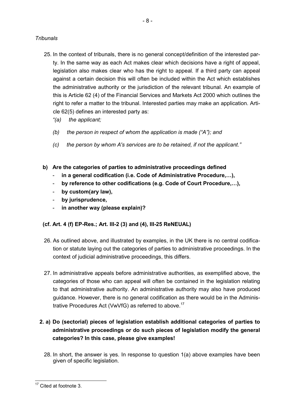#### *Tribunals*

- 25. In the context of tribunals, there is no general concept/definition of the interested party. In the same way as each Act makes clear which decisions have a right of appeal, legislation also makes clear who has the right to appeal. If a third party can appeal against a certain decision this will often be included within the Act which establishes the administrative authority or the jurisdiction of the relevant tribunal. An example of this is Article 62 (4) of the Financial Services and Markets Act 2000 which outlines the right to refer a matter to the tribunal. Interested parties may make an application. Article 62(5) defines an interested party as:
	- *"(a) the applicant;*
	- *(b) the person in respect of whom the application is made ("A"); and*
	- *(c) the person by whom A's services are to be retained, if not the applicant."*
- **b) Are the categories of parties to administrative proceedings defined** 
	- in a general codification (i.e. Code of Administrative Procedure,...),
	- by reference to other codifications (e.g. Code of Court Procedure,...),
	- **by custom(ary law),**
	- **by jurisprudence,**
	- **in another way (please explain)?**

## **(cf. Art. 4 (f) EP-Res.; Art. III-2 (3) and (4), III-25 ReNEUAL)**

- 26. As outlined above, and illustrated by examples, in the UK there is no central codification or statute laying out the categories of parties to administrative proceedings. In the context of judicial administrative proceedings, this differs.
- 27. In administrative appeals before administrative authorities, as exemplified above, the categories of those who can appeal will often be contained in the legislation relating to that administrative authority. An administrative authority may also have produced guidance. However, there is no general codification as there would be in the Administrative Procedures Act (VwVfG) as referred to above.<sup>17</sup>
- **2. a) Do (sectorial) pieces of legislation establish additional categories of parties to administrative proceedings or do such pieces of legislation modify the general categories? In this case, please give examples!** 
	- 28. In short, the answer is yes. In response to question 1(a) above examples have been given of specific legislation.

l

<sup>&</sup>lt;sup>17</sup> Cited at footnote 3.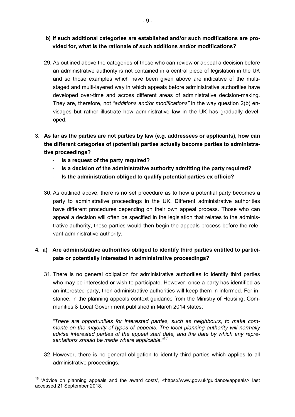### **b) If such additional categories are established and/or such modifications are provided for, what is the rationale of such additions and/or modifications?**

- 29. As outlined above the categories of those who can review or appeal a decision before an administrative authority is not contained in a central piece of legislation in the UK and so those examples which have been given above are indicative of the multistaged and multi-layered way in which appeals before administrative authorities have developed over-time and across different areas of administrative decision-making. They are, therefore, not *"additions and/or modifications"* in the way question 2(b) envisages but rather illustrate how administrative law in the UK has gradually developed.
- **3. As far as the parties are not parties by law (e.g. addressees or applicants), how can the different categories of (potential) parties actually become parties to administrative proceedings?** 
	- **Is a request of the party required?**

l,

- **Is a decision of the administrative authority admitting the party required?**
- **Is the administration obliged to qualify potential parties ex officio?**
- 30. As outlined above, there is no set procedure as to how a potential party becomes a party to administrative proceedings in the UK. Different administrative authorities have different procedures depending on their own appeal process. Those who can appeal a decision will often be specified in the legislation that relates to the administrative authority, those parties would then begin the appeals process before the relevant administrative authority.

## **4. a) Are administrative authorities obliged to identify third parties entitled to participate or potentially interested in administrative proceedings?**

31. There is no general obligation for administrative authorities to identify third parties who may be interested or wish to participate. However, once a party has identified as an interested party, then administrative authorities will keep them in informed. For instance, in the planning appeals context guidance from the Ministry of Housing, Communities & Local Government published in March 2014 states:

*"There are opportunities for interested parties, such as neighbours, to make comments on the majority of types of appeals. The local planning authority will normally advise interested parties of the appeal start date, and the date by which any representations should be made where applicable."<sup>18</sup>*

32. However, there is no general obligation to identify third parties which applies to all administrative proceedings.

<sup>&</sup>lt;sup>18</sup> 'Advice on planning appeals and the award costs', <https://www.gov.uk/guidance/appeals> last accessed 21 September 2018.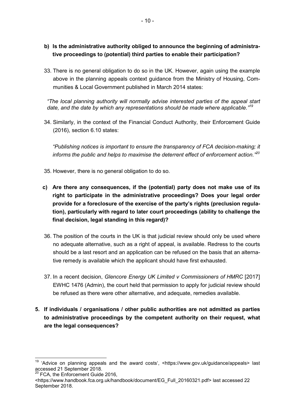- **b) Is the administrative authority obliged to announce the beginning of administrative proceedings to (potential) third parties to enable their participation?**
- 33. There is no general obligation to do so in the UK. However, again using the example above in the planning appeals context guidance from the Ministry of Housing, Communities & Local Government published in March 2014 states:

*"The local planning authority will normally advise interested parties of the appeal start date, and the date by which any representations should be made where applicable."<sup>19</sup>*

34. Similarly, in the context of the Financial Conduct Authority, their Enforcement Guide (2016), section 6.10 states:

*"Publishing notices is important to ensure the transparency of FCA decision-making; it informs the public and helps to maximise the deterrent effect of enforcement action."<sup>20</sup>*

- 35. However, there is no general obligation to do so.
- **c) Are there any consequences, if the (potential) party does not make use of its right to participate in the administrative proceedings? Does your legal order provide for a foreclosure of the exercise of the party's rights (preclusion regulation), particularly with regard to later court proceedings (ability to challenge the final decision, legal standing in this regard)?**
- 36. The position of the courts in the UK is that judicial review should only be used where no adequate alternative, such as a right of appeal, is available. Redress to the courts should be a last resort and an application can be refused on the basis that an alternative remedy is available which the applicant should have first exhausted.
- 37. In a recent decision, *Glencore Energy UK Limited v Commissioners of HMRC* [2017] EWHC 1476 (Admin), the court held that permission to apply for judicial review should be refused as there were other alternative, and adequate, remedies available.
- **5. If individuals / organisations / other public authorities are not admitted as parties to administrative proceedings by the competent authority on their request, what are the legal consequences?**

 $20$  FCA, the Enforcement Guide 2016,

l,

<sup>&</sup>lt;sup>19</sup> 'Advice on planning appeals and the award costs', <https://www.gov.uk/guidance/appeals> last accessed 21 September 2018.

<sup>&</sup>lt;https://www.handbook.fca.org.uk/handbook/document/EG\_Full\_20160321.pdf> last accessed 22 September 2018.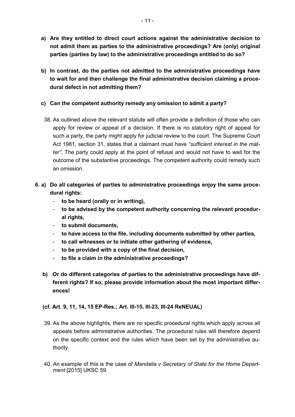- **a) Are they entitled to direct court actions against the administrative decision to not admit them as parties to the administrative proceedings? Are (only) original parties (parties by law) to the administrative proceedings entitled to do so?**
- **b) In contrast, do the parties not admitted to the administrative proceedings have to wait for and then challenge the final administrative decision claiming a procedural defect in not admitting them?**

### **c) Can the competent authority remedy any omission to admit a party?**

- 38. As outlined above the relevant statute will often provide a definition of those who can apply for review or appeal of a decision. If there is no statutory right of appeal for such a party, the party might apply for judicial review to the court. The Supreme Court Act 1981, section 31, states that a claimant must have *"sufficient interest in the matter"*. The party could apply at the point of refusal and would not have to wait for the outcome of the substantive proceedings. The competent authority could remedy such an omission.
- **6. a) Do all categories of parties to administrative proceedings enjoy the same procedural rights:** 
	- **to be heard (orally or in writing),**
	- **to be advised by the competent authority concerning the relevant procedural rights,**
	- **to submit documents,**
	- **to have access to the file, including documents submitted by other parties,**
	- **to call witnesses or to initiate other gathering of evidence,**
	- **to be provided with a copy of the final decision,**
	- **to file a claim in the administrative proceedings?**
	- **b) Or do different categories of parties to the administrative proceedings have different rights? If so, please provide information about the most important differences!**

#### **(cf. Art. 9, 11, 14, 15 EP-Res.; Art. III-15, III-23, III-24 ReNEUAL)**

- 39. As the above highlights, there are no specific procedural rights which apply across all appeals before administrative authorities. The procedural rules will therefore depend on the specific context and the rules which have been set by the administrative authority.
- 40. An example of this is the case of *Mandalia v Secretary of State for the Home Department* [2015] UKSC 59.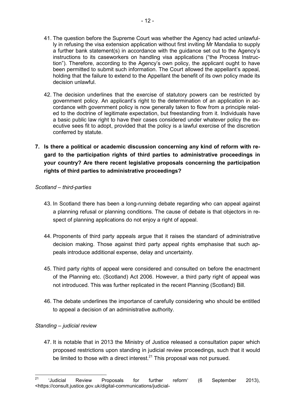- 41. The question before the Supreme Court was whether the Agency had acted unlawfully in refusing the visa extension application without first inviting Mr Mandalia to supply a further bank statement(s) in accordance with the guidance set out to the Agency's instructions to its caseworkers on handling visa applications ("the Process Instruction"). Therefore, according to the Agency's own policy, the applicant ought to have been permitted to submit such information. The Court allowed the appellant's appeal, holding that the failure to extend to the Appellant the benefit of its own policy made its decision unlawful.
- 42. The decision underlines that the exercise of statutory powers can be restricted by government policy. An applicant's right to the determination of an application in accordance with government policy is now generally taken to flow from a principle related to the doctrine of legitimate expectation, but freestanding from it. Individuals have a basic public law right to have their cases considered under whatever policy the executive sees fit to adopt, provided that the policy is a lawful exercise of the discretion conferred by statute.
- **7. Is there a political or academic discussion concerning any kind of reform with regard to the participation rights of third parties to administrative proceedings in your country? Are there recent legislative proposals concerning the participation rights of third parties to administrative proceedings?**

#### *Scotland – third-parties*

- 43. In Scotland there has been a long-running debate regarding who can appeal against a planning refusal or planning conditions. The cause of debate is that objectors in respect of planning applications do not enjoy a right of appeal.
- 44. Proponents of third party appeals argue that it raises the standard of administrative decision making. Those against third party appeal rights emphasise that such appeals introduce additional expense, delay and uncertainty.
- 45. Third party rights of appeal were considered and consulted on before the enactment of the Planning etc. (Scotland) Act 2006. However, a third party right of appeal was not introduced. This was further replicated in the recent Planning (Scotland) Bill.
- 46. The debate underlines the importance of carefully considering who should be entitled to appeal a decision of an administrative authority.

#### *Standing – judicial review*

47. It is notable that in 2013 the Ministry of Justice released a consultation paper which proposed restrictions upon standing in judicial review proceedings, such that it would be limited to those with a direct interest. $21$  This proposal was not pursued.

 $21$ <sup>21</sup> 'Judicial Review Proposals for further reform' (6 September 2013), <https://consult.justice.gov.uk/digital-communications/judicial-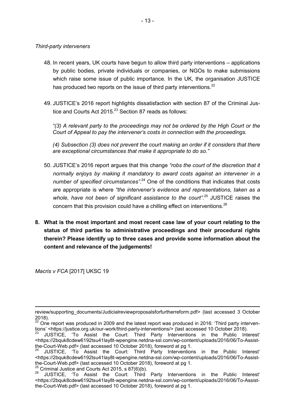#### *Third-party interveners*

- 48. In recent years, UK courts have begun to allow third party interventions applications by public bodies, private individuals or companies, or NGOs to make submissions which raise some issue of public importance. In the UK, the organisation JUSTICE has produced two reports on the issue of third party interventions. $^{22}$
- 49. JUSTICE's 2016 report highlights dissatisfaction with section 87 of the Criminal Justice and Courts Act 2015. $23$  Section 87 reads as follows:

*"(3) A relevant party to the proceedings may not be ordered by the High Court or the Court of Appeal to pay the intervener's costs in connection with the proceedings.* 

*(4) Subsection (3) does not prevent the court making an order if it considers that there are exceptional circumstances that make it appropriate to do so."* 

- 50. JUSTICE's 2016 report argues that this change *"robs the court of the discretion that it normally enjoys by making it mandatory to award costs against an intervener in a number of specified circumstances"*. <sup>24</sup> One of the conditions that indicates that costs are appropriate is where *"the intervener's evidence and representations, taken as a*  whole, have not been of significant assistance to the court<sup>", 25</sup> JUSTICE raises the concern that this provision could have a chilling effect on interventions.<sup>26</sup>
- **8. What is the most important and most recent case law of your court relating to the status of third parties to administrative proceedings and their procedural rights therein? Please identify up to three cases and provide some information about the content and relevance of the judgements!**

*Macris v FCA* [2017] UKSC 19

 $\overline{a}$ 

review/supporting\_documents/Judicialreviewproposalsforfurtherreform.pdf> (last accessed 3 October 2018).

 $22$  One report was produced in 2009 and the latest report was produced in 2016: 'Third party interventions' <https://justice.org.uk/our-work/third-party-interventions/> (last accessed 10 October 2018).

<sup>23</sup> JUSTICE, 'To Assist the Court: Third Party Interventions in the Public Interest' <https://2bquk8cdew6192tsu41lay8t-wpengine.netdna-ssl.com/wp-content/uploads/2016/06/To-Assistthe-Court-Web.pdf> (last accessed 10 October 2018), foreword at pg 1.

<sup>24</sup> JUSTICE, 'To Assist the Court: Third Party Interventions in the Public Interest' <https://2bquk8cdew6192tsu41lay8t-wpengine.netdna-ssl.com/wp-content/uploads/2016/06/To-Assistthe-Court-Web.pdf> (last accessed 10 October 2018), foreword at pg 1.

<sup>&</sup>lt;sup>25</sup> Criminal Justice and Courts Act 2015, s 87(6)(b).<br><sup>26</sup> HISTICE **150** Assist the Court: Third

JUSTICE, 'To Assist the Court: Third Party Interventions in the Public Interest' <https://2bquk8cdew6192tsu41lay8t-wpengine.netdna-ssl.com/wp-content/uploads/2016/06/To-Assistthe-Court-Web.pdf> (last accessed 10 October 2018), foreword at pg 1.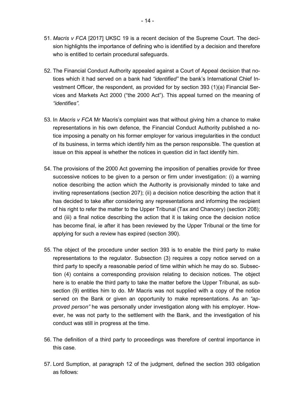- 51. *Macris v FCA* [2017] UKSC 19 is a recent decision of the Supreme Court. The decision highlights the importance of defining who is identified by a decision and therefore who is entitled to certain procedural safeguards.
- 52. The Financial Conduct Authority appealed against a Court of Appeal decision that notices which it had served on a bank had *"identified"* the bank's International Chief Investment Officer, the respondent, as provided for by section 393 (1)(a) Financial Services and Markets Act 2000 ("the 2000 Act"). This appeal turned on the meaning of *"identifies"*.
- 53. In *Macris v FCA* Mr Macris's complaint was that without giving him a chance to make representations in his own defence, the Financial Conduct Authority published a notice imposing a penalty on his former employer for various irregularities in the conduct of its business, in terms which identify him as the person responsible. The question at issue on this appeal is whether the notices in question did in fact identify him.
- 54. The provisions of the 2000 Act governing the imposition of penalties provide for three successive notices to be given to a person or firm under investigation: (i) a warning notice describing the action which the Authority is provisionally minded to take and inviting representations (section 207); (ii) a decision notice describing the action that it has decided to take after considering any representations and informing the recipient of his right to refer the matter to the Upper Tribunal (Tax and Chancery) (section 208); and (iii) a final notice describing the action that it is taking once the decision notice has become final, ie after it has been reviewed by the Upper Tribunal or the time for applying for such a review has expired (section 390).
- 55. The object of the procedure under section 393 is to enable the third party to make representations to the regulator. Subsection (3) requires a copy notice served on a third party to specify a reasonable period of time within which he may do so. Subsection (4) contains a corresponding provision relating to decision notices. The object here is to enable the third party to take the matter before the Upper Tribunal, as subsection (9) entitles him to do. Mr Macris was not supplied with a copy of the notice served on the Bank or given an opportunity to make representations. As an *"approved person"* he was personally under investigation along with his employer. However, he was not party to the settlement with the Bank, and the investigation of his conduct was still in progress at the time.
- 56. The definition of a third party to proceedings was therefore of central importance in this case.
- 57. Lord Sumption, at paragraph 12 of the judgment, defined the section 393 obligation as follows: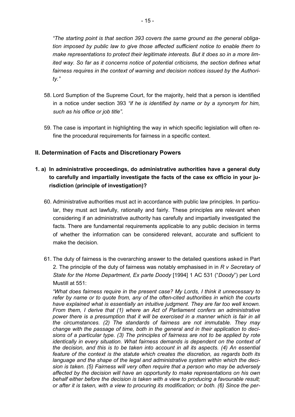*"The starting point is that section 393 covers the same ground as the general obligation imposed by public law to give those affected sufficient notice to enable them to make representations to protect their legitimate interests. But it does so in a more limited way. So far as it concerns notice of potential criticisms, the section defines what fairness requires in the context of warning and decision notices issued by the Authority."* 

- 58. Lord Sumption of the Supreme Court, for the majority, held that a person is identified in a notice under section 393 *"if he is identified by name or by a synonym for him, such as his office or job title"*.
- 59. The case is important in highlighting the way in which specific legislation will often refine the procedural requirements for fairness in a specific context.

## **II. Determination of Facts and Discretionary Powers**

- **1. a) In administrative proceedings, do administrative authorities have a general duty to carefully and impartially investigate the facts of the case ex officio in your jurisdiction (principle of investigation)?** 
	- 60. Administrative authorities must act in accordance with public law principles. In particular, they must act lawfully, rationally and fairly. These principles are relevant when considering if an administrative authority has carefully and impartially investigated the facts. There are fundamental requirements applicable to any public decision in terms of whether the information can be considered relevant, accurate and sufficient to make the decision.
	- 61. The duty of fairness is the overarching answer to the detailed questions asked in Part 2. The principle of the duty of fairness was notably emphasised in in *R v Secretary of State for the Home Department, Ex parte Doody* [1994] 1 AC 531 ("*Doody*") per Lord Mustill at 551:

*"What does fairness require in the present case? My Lords, I think it unnecessary to refer by name or to quote from, any of the often-cited authorities in which the courts have explained what is essentially an intuitive judgment. They are far too well known. From them, I derive that (1) where an Act of Parliament confers an administrative power there is a presumption that it will be exercised in a manner which is fair in all the circumstances. (2) The standards of fairness are not immutable. They may change with the passage of time, both in the general and in their application to decisions of a particular type. (3) The principles of fairness are not to be applied by rote identically in every situation. What fairness demands is dependent on the context of the decision, and this is to be taken into account in all its aspects. (4) An essential feature of the context is the statute which creates the discretion, as regards both its language and the shape of the legal and administrative system within which the decision is taken. (5) Fairness will very often require that a person who may be adversely affected by the decision will have an opportunity to make representations on his own behalf either before the decision is taken with a view to producing a favourable result; or after it is taken, with a view to procuring its modification; or both. (6) Since the per-*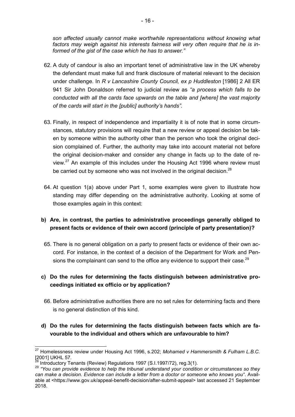*son affected usually cannot make worthwhile representations without knowing what factors may weigh against his interests fairness will very often require that he is informed of the gist of the case which he has to answer."* 

- 62. A duty of candour is also an important tenet of administrative law in the UK whereby the defendant must make full and frank disclosure of material relevant to the decision under challenge. In *R v Lancashire County Council, ex p Huddleston* [1986] 2 All ER 941 Sir John Donaldson referred to judicial review as *"a process which falls to be conducted with all the cards face upwards on the table and [where] the vast majority of the cards will start in the [public] authority's hands"*.
- 63. Finally, in respect of independence and impartiality it is of note that in some circumstances, statutory provisions will require that a new review or appeal decision be taken by someone within the authority other than the person who took the original decision complained of. Further, the authority may take into account material not before the original decision-maker and consider any change in facts up to the date of review.<sup>27</sup> An example of this includes under the Housing Act 1996 where review must be carried out by someone who was not involved in the original decision.<sup>28</sup>
- 64. At question 1(a) above under Part 1, some examples were given to illustrate how standing may differ depending on the administrative authority. Looking at some of those examples again in this context:

## **b) Are, in contrast, the parties to administrative proceedings generally obliged to present facts or evidence of their own accord (principle of party presentation)?**

65. There is no general obligation on a party to present facts or evidence of their own accord. For instance, in the context of a decision of the Department for Work and Pensions the complainant can send to the office any evidence to support their case.<sup>29</sup>

## **c) Do the rules for determining the facts distinguish between administrative proceedings initiated ex officio or by application?**

- 66. Before administrative authorities there are no set rules for determining facts and there is no general distinction of this kind.
- **d) Do the rules for determining the facts distinguish between facts which are favourable to the individual and others which are unfavourable to him?**

l

<sup>27</sup> Homelessness review under Housing Act 1996, s.202; *Mohamed v Hammersmith & Fulham L.B.C.* 2001] UKHL 57.

<sup>&</sup>lt;sup>3</sup> Introductory Tenants (Review) Regulations 1997 (S.I.1997/72), reg.3(1).

<sup>29</sup> *"You can provide evidence to help the tribunal understand your condition or circumstances so they can make a decision. Evidence can include a letter from a doctor or someone who knows you"*. Available at <https://www.gov.uk/appeal-benefit-decision/after-submit-appeal> last accessed 21 September 2018.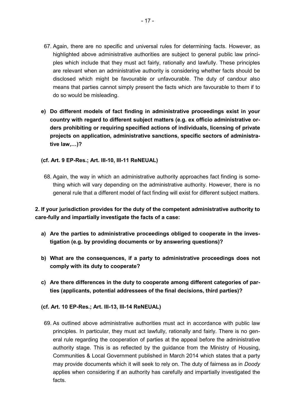- 67. Again, there are no specific and universal rules for determining facts. However, as highlighted above administrative authorities are subject to general public law principles which include that they must act fairly, rationally and lawfully. These principles are relevant when an administrative authority is considering whether facts should be disclosed which might be favourable or unfavourable. The duty of candour also means that parties cannot simply present the facts which are favourable to them if to do so would be misleading.
- **e) Do different models of fact finding in administrative proceedings exist in your country with regard to different subject matters (e.g. ex officio administrative orders prohibiting or requiring specified actions of individuals, licensing of private projects on application, administrative sanctions, specific sectors of administrative law,3)?**
- **(cf. Art. 9 EP-Res.; Art. III-10, III-11 ReNEUAL)**
- 68. Again, the way in which an administrative authority approaches fact finding is something which will vary depending on the administrative authority. However, there is no general rule that a different model of fact finding will exist for different subject matters.

## **2. If your jurisdiction provides for the duty of the competent administrative authority to care-fully and impartially investigate the facts of a case:**

- **a) Are the parties to administrative proceedings obliged to cooperate in the investigation (e.g. by providing documents or by answering questions)?**
- **b) What are the consequences, if a party to administrative proceedings does not comply with its duty to cooperate?**
- **c) Are there differences in the duty to cooperate among different categories of parties (applicants, potential addressees of the final decisions, third parties)?**
- **(cf. Art. 10 EP-Res.; Art. III-13, III-14 ReNEUAL)** 
	- 69. As outlined above administrative authorities must act in accordance with public law principles. In particular, they must act lawfully, rationally and fairly. There is no general rule regarding the cooperation of parties at the appeal before the administrative authority stage. This is as reflected by the guidance from the Ministry of Housing, Communities & Local Government published in March 2014 which states that a party may provide documents which it will seek to rely on. The duty of fairness as in *Doody*  applies when considering if an authority has carefully and impartially investigated the facts.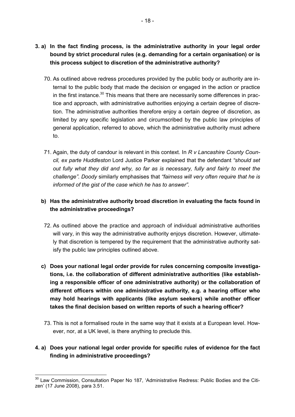- **3. a) In the fact finding process, is the administrative authority in your legal order bound by strict procedural rules (e.g. demanding for a certain organisation) or is this process subject to discretion of the administrative authority?** 
	- 70. As outlined above redress procedures provided by the public body or authority are internal to the public body that made the decision or engaged in the action or practice in the first instance. $30$  This means that there are necessarily some differences in practice and approach, with administrative authorities enjoying a certain degree of discretion. The administrative authorities therefore enjoy a certain degree of discretion, as limited by any specific legislation and circumscribed by the public law principles of general application, referred to above, which the administrative authority must adhere to.
	- 71. Again, the duty of candour is relevant in this context. In *R v Lancashire County Council, ex parte Huddleston* Lord Justice Parker explained that the defendant *"should set out fully what they did and why, so far as is necessary, fully and fairly to meet the challenge"*. *Doody* similarly emphasises that *"fairness will very often require that he is informed of the gist of the case which he has to answer"*.

## **b) Has the administrative authority broad discretion in evaluating the facts found in the administrative proceedings?**

- 72. As outlined above the practice and approach of individual administrative authorities will vary, in this way the administrative authority enjoys discretion. However, ultimately that discretion is tempered by the requirement that the administrative authority satisfy the public law principles outlined above.
- **c) Does your national legal order provide for rules concerning composite investigations, i.e. the collaboration of different administrative authorities (like establishing a responsible officer of one administrative authority) or the collaboration of different officers within one administrative authority, e.g. a hearing officer who may hold hearings with applicants (like asylum seekers) while another officer takes the final decision based on written reports of such a hearing officer?**
- 73. This is not a formalised route in the same way that it exists at a European level. However, nor, at a UK level, is there anything to preclude this.

## **4. a) Does your national legal order provide for specific rules of evidence for the fact finding in administrative proceedings?**

l,

<sup>&</sup>lt;sup>30</sup> Law Commission, Consultation Paper No 187, 'Administrative Redress: Public Bodies and the Citizen' (17 June 2008), para 3.51.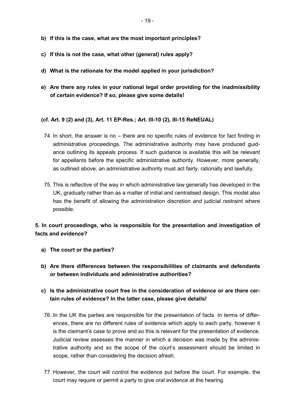- **b) If this is the case, what are the most important principles?**
- **c) If this is not the case, what other (general) rules apply?**
- **d) What is the rationale for the model applied in your jurisdiction?**
- **e) Are there any rules in your national legal order providing for the inadmissibility of certain evidence? If so, please give some details!**

#### **(cf. Art. 9 (2) and (3), Art. 11 EP-Res.; Art. III-10 (2), III-15 ReNEUAL)**

- 74. In short, the answer is no there are no specific rules of evidence for fact finding in administrative proceedings. The administrative authority may have produced guidance outlining its appeals process. If such guidance is available this will be relevant for appellants before the specific administrative authority. However, more generally, as outlined above, an administrative authority must act fairly, rationally and lawfully.
- 75. This is reflective of the way in which administrative law generally has developed in the UK, gradually rather than as a matter of initial and centralised design. This model also has the benefit of allowing the administration discretion and judicial restraint where possible.

## **5. In court proceedings, who is responsible for the presentation and investigation of facts and evidence?**

- **a) The court or the parties?**
- **b) Are there differences between the responsibilities of claimants and defendants or between individuals and administrative authorities?**
- **c) Is the administrative court free in the consideration of evidence or are there certain rules of evidence? In the latter case, please give details!**
- 76. In the UK the parties are responsible for the presentation of facts. In terms of differences, there are no different rules of evidence which apply to each party, however it is the claimant's case to prove and so this is relevant for the presentation of evidence. Judicial review assesses the manner in which a decision was made by the administrative authority and so the scope of the court's assessment should be limited in scope, rather than considering the decision afresh.
- 77. However, the court will control the evidence put before the court. For example, the court may require or permit a party to give oral evidence at the hearing.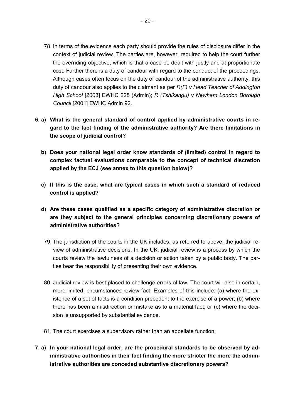- 78. In terms of the evidence each party should provide the rules of disclosure differ in the context of judicial review. The parties are, however, required to help the court further the overriding objective, which is that a case be dealt with justly and at proportionate cost. Further there is a duty of candour with regard to the conduct of the proceedings. Although cases often focus on the duty of candour of the administrative authority, this duty of candour also applies to the claimant as per *R(F) v Head Teacher of Addington High School* [2003] EWHC 228 (Admin); *R (Tshikangu) v Newham London Borough Council* [2001] EWHC Admin 92.
- **6. a) What is the general standard of control applied by administrative courts in regard to the fact finding of the administrative authority? Are there limitations in the scope of judicial control?** 
	- **b) Does your national legal order know standards of (limited) control in regard to complex factual evaluations comparable to the concept of technical discretion applied by the ECJ (see annex to this question below)?**
	- **c) If this is the case, what are typical cases in which such a standard of reduced control is applied?**
	- **d) Are these cases qualified as a specific category of administrative discretion or are they subject to the general principles concerning discretionary powers of administrative authorities?**
	- 79. The jurisdiction of the courts in the UK includes, as referred to above, the judicial review of administrative decisions. In the UK, judicial review is a process by which the courts review the lawfulness of a decision or action taken by a public body. The parties bear the responsibility of presenting their own evidence.
	- 80. Judicial review is best placed to challenge errors of law. The court will also in certain, more limited, circumstances review fact. Examples of this include: (a) where the existence of a set of facts is a condition precedent to the exercise of a power; (b) where there has been a misdirection or mistake as to a material fact; or (c) where the decision is unsupported by substantial evidence.
	- 81. The court exercises a supervisory rather than an appellate function.
- **7. a) In your national legal order, are the procedural standards to be observed by administrative authorities in their fact finding the more stricter the more the administrative authorities are conceded substantive discretionary powers?**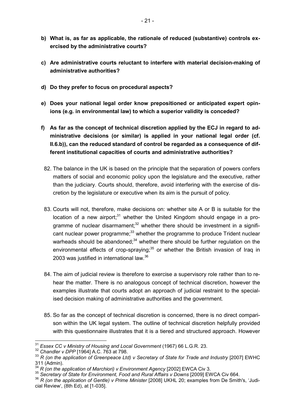- **b) What is, as far as applicable, the rationale of reduced (substantive) controls exercised by the administrative courts?**
- **c) Are administrative courts reluctant to interfere with material decision-making of administrative authorities?**
- **d) Do they prefer to focus on procedural aspects?**
- **e) Does your national legal order know prepositioned or anticipated expert opinions (e.g. in environmental law) to which a superior validity is conceded?**
- **f) As far as the concept of technical discretion applied by the ECJ in regard to administrative decisions (or similar) is applied in your national legal order (cf. II.6.b)), can the reduced standard of control be regarded as a consequence of different institutional capacities of courts and administrative authorities?** 
	- 82. The balance in the UK is based on the principle that the separation of powers confers matters of social and economic policy upon the legislature and the executive, rather than the judiciary. Courts should, therefore, avoid interfering with the exercise of discretion by the legislature or executive when its aim is the pursuit of policy.
	- 83. Courts will not, therefore, make decisions on: whether site A or B is suitable for the location of a new airport;<sup>31</sup> whether the United Kingdom should engage in a programme of nuclear disarmament; $32$  whether there should be investment in a significant nuclear power programme;<sup>33</sup> whether the programme to produce Trident nuclear warheads should be abandoned: $34$  whether there should be further regulation on the environmental effects of crop-spraying: $35$  or whether the British invasion of Iraq in 2003 was justified in international law.<sup>36</sup>
- 84. The aim of judicial review is therefore to exercise a supervisory role rather than to rehear the matter. There is no analogous concept of technical discretion, however the examples illustrate that courts adopt an approach of judicial restraint to the specialised decision making of administrative authorities and the government.
- 85. So far as the concept of technical discretion is concerned, there is no direct comparison within the UK legal system. The outline of technical discretion helpfully provided with this questionnaire illustrates that it is a tiered and structured approach. However

<sup>31</sup> *Essex CC v Ministry of Housing and Local Government* (1967) 66 L.G.R. 23.

<sup>32</sup> *Chandler v DPP* [1964] A.C. 763 at 798.

<sup>&</sup>lt;sup>33</sup> R (on the application of Greenpeace Ltd) v Secretary of State for Trade and Industry [2007] EWHC  $311$  (Admin).

<sup>&</sup>lt;sup>4</sup> R (on the application of Marchiori) v Environment Agency [2002] EWCA Civ 3.

<sup>35</sup> *Secretary of State for Environment, Food and Rural Affairs v Downs* [2009] EWCA Civ 664.

<sup>36</sup> *R (on the application of Gentle) v Prime Minister* [2008] UKHL 20; examples from De Smith's, 'Judicial Review', (8th Ed), at [1-035].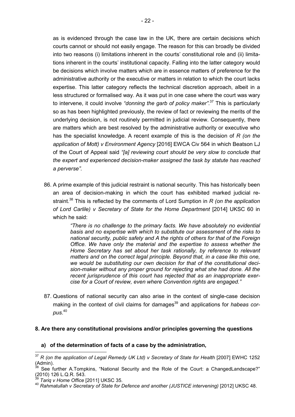- 22 -

as is evidenced through the case law in the UK, there are certain decisions which courts cannot or should not easily engage. The reason for this can broadly be divided into two reasons (i) limitations inherent in the courts' constitutional role and (ii) limitations inherent in the courts' institutional capacity. Falling into the latter category would be decisions which involve matters which are in essence matters of preference for the administrative authority or the executive or matters in relation to which the court lacks expertise. This latter category reflects the technical discretion approach, albeit in a less structured or formalised way. As it was put in one case where the court was wary to intervene, it could involve *"donning the garb of policy maker"*. <sup>37</sup> This is particularly so as has been highlighted previously, the review of fact or reviewing the merits of the underlying decision, is not routinely permitted in judicial review. Consequently, there are matters which are best resolved by the administrative authority or executive who has the specialist knowledge. A recent example of this is the decision of *R (on the application of Mott) v Environment Agency* [2016] EWCA Civ 564 in which Beatson LJ of the Court of Appeal said *"[a] reviewing court should be very slow to conclude that the expert and experienced decision-maker assigned the task by statute has reached a perverse"*.

86. A prime example of this judicial restraint is national security. This has historically been an area of decision-making in which the court has exhibited marked judicial restraint.<sup>38</sup> This is reflected by the comments of Lord Sumption in *R (on the application of Lord Carlile) v Secretary of State for the Home Department* [2014] UKSC 60 in which he said:

> *"There is no challenge to the primary facts. We have absolutely no evidential basis and no expertise with which to substitute our assessment of the risks to national security, public safety and A the rights of others for that of the Foreign Office. We have only the material and the expertise to assess whether the Home Secretary has set about her task rationally, by reference to relevant matters and on the correct legal principle. Beyond that, in a case like this one, we would be substituting our own decision for that of the constitutional decision-maker without any proper ground for rejecting what she had done. All the recent jurisprudence of this court has rejected that as an inappropriate exercise for a Court of review, even where Convention rights are engaged."*

87. Questions of national security can also arise in the context of single-case decision making in the context of civil claims for damages<sup>39</sup> and applications for *habeas corpus*. 40

#### **8. Are there any constitutional provisions and/or principles governing the questions**

#### **a) of the determination of facts of a case by the administration,**

l,

<sup>&</sup>lt;sup>37</sup> *R* (on the application of Legal Remedy UK Ltd) v Secretary of State for Health [2007] EWHC 1252 (Admin).

See further A.Tompkins, "National Security and the Role of the Court: a ChangedLandscape?" (2010) 126 L.Q.R. 543.

<sup>39</sup> *Tariq v Home Office* [2011] UKSC 35.

<sup>40</sup> *Rahmatullah v Secretary of State for Defence and another (JUSTICE intervening)* [2012] UKSC 48.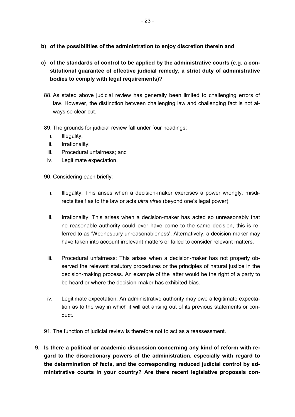- **b) of the possibilities of the administration to enjoy discretion therein and**
- **c) of the standards of control to be applied by the administrative courts (e.g. a constitutional guarantee of effective judicial remedy, a strict duty of administrative bodies to comply with legal requirements)?** 
	- 88. As stated above judicial review has generally been limited to challenging errors of law. However, the distinction between challenging law and challenging fact is not always so clear cut.
- 89. The grounds for judicial review fall under four headings:
	- i. Illegality;
	- ii. Irrationality;
	- iii. Procedural unfairness; and
	- iv. Legitimate expectation.

90. Considering each briefly:

- i. Illegality: This arises when a decision-maker exercises a power wrongly, misdirects itself as to the law or acts *ultra vires* (beyond one's legal power).
- ii. Irrationality: This arises when a decision-maker has acted so unreasonably that no reasonable authority could ever have come to the same decision, this is referred to as 'Wednesbury unreasonableness'. Alternatively, a decision-maker may have taken into account irrelevant matters or failed to consider relevant matters.
- iii. Procedural unfairness: This arises when a decision-maker has not properly observed the relevant statutory procedures or the principles of natural justice in the decision-making process. An example of the latter would be the right of a party to be heard or where the decision-maker has exhibited bias.
- iv. Legitimate expectation: An administrative authority may owe a legitimate expectation as to the way in which it will act arising out of its previous statements or conduct.
- 91. The function of judicial review is therefore not to act as a reassessment.
- **9. Is there a political or academic discussion concerning any kind of reform with regard to the discretionary powers of the administration, especially with regard to the determination of facts, and the corresponding reduced judicial control by administrative courts in your country? Are there recent legislative proposals con-**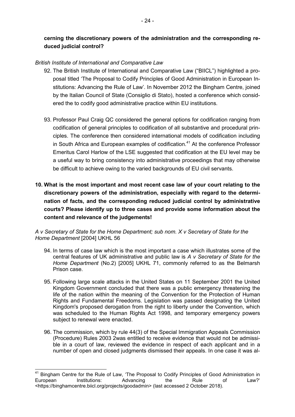#### *British Institute of International and Comparative Law*

**duced judicial control?** 

l,

- 92. The British Institute of International and Comparative Law ("BIICL") highlighted a proposal titled 'The Proposal to Codify Principles of Good Administration in European Institutions: Advancing the Rule of Law'. In November 2012 the Bingham Centre, joined by the Italian Council of State (Consiglio di Stato), hosted a conference which considered the to codify good administrative practice within EU institutions.
- 93. Professor Paul Craig QC considered the general options for codification ranging from codification of general principles to codification of all substantive and procedural principles. The conference then considered international models of codification including in South Africa and European examples of codification. $41$  At the conference Professor Emeritus Carol Harlow of the LSE suggested that codification at the EU level may be a useful way to bring consistency into administrative proceedings that may otherwise be difficult to achieve owing to the varied backgrounds of EU civil servants.
- **10. What is the most important and most recent case law of your court relating to the discretionary powers of the administration, especially with regard to the determination of facts, and the corresponding reduced judicial control by administrative courts? Please identify up to three cases and provide some information about the content and relevance of the judgements!**

*A v Secretary of State for the Home Department; sub nom. X v Secretary of State for the Home Department* [2004] UKHL 56

- 94. In terms of case law which is the most important a case which illustrates some of the central features of UK administrative and public law is *A v Secretary of State for the Home Department* (No.2) [2005] UKHL 71, commonly referred to as the Belmarsh Prison case.
- 95. Following large scale attacks in the United States on 11 September 2001 the United Kingdom Government concluded that there was a public emergency threatening the life of the nation within the meaning of the Convention for the Protection of Human Rights and Fundamental Freedoms. Legislation was passed designating the United Kingdom's proposed derogation from the right to liberty under the Convention, which was scheduled to the Human Rights Act 1998, and temporary emergency powers subject to renewal were enacted.
- 96. The commission, which by rule 44(3) of the Special Immigration Appeals Commission (Procedure) Rules 2003 2was entitled to receive evidence that would not be admissible in a court of law, reviewed the evidence in respect of each applicant and in a number of open and closed judgments dismissed their appeals. In one case it was al-

<sup>&</sup>lt;sup>41</sup> Bingham Centre for the Rule of Law, 'The Proposal to Codify Principles of Good Administration in European Institutions: Advancing the Rule of Law?' <https://binghamcentre.biicl.org/projects/goodadmin> (last accessed 2 October 2018).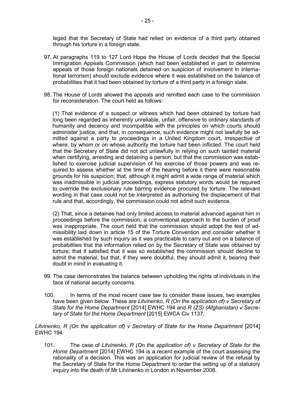leged that the Secretary of State had relied on evidence of a third party obtained through his torture in a foreign state.

- 97. At paragraphs 119 to 127 Lord Hope the House of Lords decided that the Special Immigration Appeals Commission (which had been established in part to determine appeals of those foreign nationals detained on suspicion of involvement in international terrorism) should exclude evidence where it was established on the balance of probabilities that it had been obtained by torture of a third party in a foreign state.
- 98. The House of Lords allowed the appeals and remitted each case to the commission for reconsideration. The court held as follows:

(1) That evidence of a suspect or witness which had been obtained by torture had long been regarded as inherently unreliable, unfair, offensive to ordinary standards of humanity and decency and incompatible with the principles on which courts should administer justice, and that, in consequence, such evidence might not lawfully be admitted against a party to proceedings in a United Kingdom court, irrespective of where, by whom or on whose authority the torture had been inflicted. The court held that the Secretary of State did not act unlawfully in relying on such tainted material when certifying, arresting and detaining a person; but that the commission was established to exercise judicial supervision of his exercise of those powers and was required to assess whether at the time of the hearing before it there were reasonable grounds for his suspicion; that, although it might admit a wide range of material which was inadmissible in judicial proceedings, express statutory words would be required to override the exclusionary rule barring evidence procured by torture. The relevant wording in that case could not be interpreted as authorising the displacement of that rule and that, accordingly, the commission could not admit such evidence.

(2) That, since a detainee had only limited access to material advanced against him in proceedings before the commission, a conventional approach to the burden of proof was inappropriate. The court held that the commission should adopt the test of admissibility laid down in article 15 of the Torture Convention and consider whether it was established by such inquiry as it was practicable to carry out and on a balance of probabilities that the information relied on by the Secretary of State was obtained by torture; that if satisfied that it was so established the commission should decline to admit the material, but that, if they were doubtful, they should admit it, bearing their doubt in mind in evaluating it.

- 99. The case demonstrates the balance between upholding the rights of individuals in the face of national security concerns.
- 100. In terms of the most recent case law to consider these issues, two examples have been given below. These are *Litvinenko, R (On the application of) v Secretary of State for the Home Department* [2014] EWHC 194 and *R (ZS) (Afghanistan) v Secretary of State for the Home Department* [2015] EWCA Civ 1137.

Litvinenko, R (On the application of) v Secretary of State for the Home Department [2014] EWHC 194

101. The case of *Litvinenko, R (On the application of) v Secretary of State for the Home Department* [2014] EWHC 194 is a recent example of the court assessing the rationality of a decision. This was an application for judicial review of the refusal by the Secretary of State for the Home Department to order the setting up of a statutory inquiry into the death of Mr Litvinenko in London in November 2006.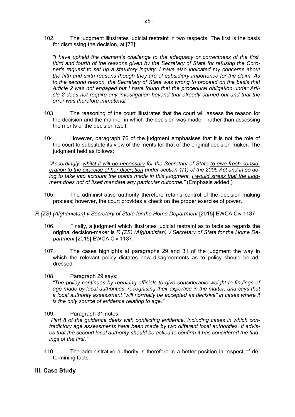102. The judgment illustrates judicial restraint in two respects. The first is the basis for dismissing the decision, at [73]:

*"I have upheld the claimant's challenge to the adequacy or correctness of the first, third and fourth of the reasons given by the Secretary of State for refusing the Coroner's request to set up a statutory inquiry. I have also indicated my concerns about the fifth and sixth reasons though they are of subsidiary importance for the claim. As to the second reason, the Secretary of State was wrong to proceed on the basis that Article 2 was not engaged but I have found that the procedural obligation under Article 2 does not require any investigation beyond that already carried out and that the error was therefore immaterial."* 

- 103. The reasoning of the court illustrates that the court will assess the reason for the decision and the manner in which the decision was made – rather than assessing the merits of the decision itself.
- 104. However, paragraph 76 of the judgment emphasises that it is not the role of the court to substitute its view of the merits for that of the original decision-maker. The judgment held as follows:

*"Accordingly, whilst it will be necessary for the Secretary of State to give fresh consideration to the exercise of her discretion under section 1(1) of the 2005 Act and in so doing to take into account the points made in this judgment, I would stress that the judgment does not of itself mandate any particular outcome."* (Emphasis added.)

- 105. The administrative authority therefore retains control of the decision-making process; however, the court provides a check on the proper exercise of power.
- *R (ZS) (Afghanistan) v Secretary of State for the Home Department* [2015] EWCA Civ 1137
	- 106. Finally, a judgment which illustrates judicial restraint as to facts as regards the original decision-maker is *R (ZS) (Afghanistan) v Secretary of State for the Home Department* [2015] EWCA Civ 1137.
	- 107. The cases highlights at paragraphs 29 and 31 of the judgment the way in which the relevant policy dictates how disagreements as to policy should be addressed.
	- 108. Paragraph 29 says:

*"The policy continues by requiring officials to give considerable weight to findings of age made by local authorities, recognising their expertise in the matter, and says that a local authority assessment "will normally be accepted as decisive" in cases where it is the only source of evidence relating to age."* 

109. Paragraph 31 notes:

*"Part 8 of the guidance deals with conflicting evidence, including cases in which contradictory age assessments have been made by two different local authorities. It advises that the second local authority should be asked to confirm it has considered the findings of the first."* 

110. The administrative authority is therefore in a better position in respect of determining facts.

#### **III. Case Study**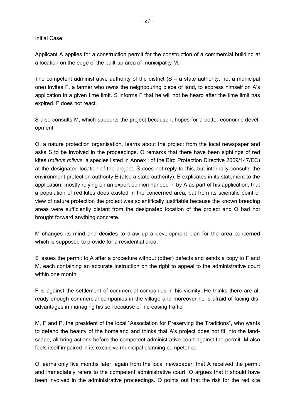Initial Case:

Applicant A applies for a construction permit for the construction of a commercial building at a location on the edge of the built-up area of municipality M.

The competent administrative authority of the district  $(S - a)$  state authority, not a municipal one) invites F, a farmer who owns the neighbouring piece of land, to express himself on A's application in a given time limit. S informs F that he will not be heard after the time limit has expired. F does not react.

S also consults M, which supports the project because it hopes for a better economic development.

O, a nature protection organisation, learns about the project from the local newspaper and asks S to be involved in the proceedings. O remarks that there have been sightings of red kites (*milvus milvus*, a species listed in Annex I of the Bird Protection Directive 2009/147/EC) at the designated location of the project. S does not reply to this, but internally consults the environment protection authority E (also a state authority). E explicates in its statement to the application, mostly relying on an expert opinion handed in by A as part of his application, that a population of red kites does existed in the concerned area, but from its scientific point of view of nature protection the project was scientifically justifiable because the known breeding areas were sufficiently distant from the designated location of the project and O had not brought forward anything concrete.

M changes its mind and decides to draw up a development plan for the area concerned which is supposed to provide for a residential area.

S issues the permit to A after a procedure without (other) defects and sends a copy to F and M, each containing an accurate instruction on the right to appeal to the administrative court within one month

F is against the settlement of commercial companies in his vicinity. He thinks there are already enough commercial companies in the village and moreover he is afraid of facing disadvantages in managing his soil because of increasing traffic.

M, F and P, the president of the local "Association for Preserving the Traditions", who wants to defend the beauty of the homeland and thinks that A's project does not fit into the landscape, all bring actions before the competent administrative court against the permit. M also feels itself impaired in its exclusive municipal planning competence.

O learns only five months later, again from the local newspaper, that A received the permit and immediately refers to the competent administrative court. O argues that it should have been involved in the administrative proceedings. O points out that the risk for the red kite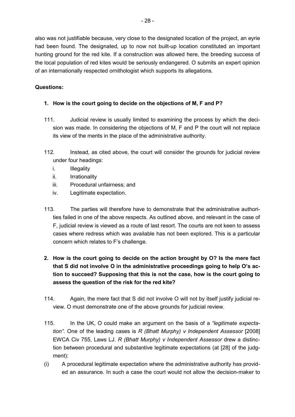also was not justifiable because, very close to the designated location of the project, an eyrie had been found. The designated, up to now not built-up location constituted an important hunting ground for the red kite. If a construction was allowed here, the breeding success of the local population of red kites would be seriously endangered. O submits an expert opinion of an internationally respected ornithologist which supports its allegations.

## **Questions:**

## **1. How is the court going to decide on the objections of M, F and P?**

- 111. Judicial review is usually limited to examining the process by which the decision was made. In considering the objections of M, F and P the court will not replace its view of the merits in the place of the administrative authority.
- 112. Instead, as cited above, the court will consider the grounds for judicial review under four headings:
	- i. Illegality
	- ii. Irrationality
	- iii. Procedural unfairness; and
	- iv. Legitimate expectation.
- 113. The parties will therefore have to demonstrate that the administrative authorities failed in one of the above respects. As outlined above, and relevant in the case of F, judicial review is viewed as a route of last resort. The courts are not keen to assess cases where redress which was available has not been explored. This is a particular concern which relates to F's challenge.
- **2. How is the court going to decide on the action brought by O? Is the mere fact that S did not involve O in the administrative proceedings going to help O's action to succeed? Supposing that this is not the case, how is the court going to assess the question of the risk for the red kite?**
- 114. Again, the mere fact that S did not involve O will not by itself justify judicial review. O must demonstrate one of the above grounds for judicial review.
- 115. In the UK, O could make an argument on the basis of a *"legitimate expectation"*. One of the leading cases is *R (Bhatt Murphy) v Independent Assessor* [2008] EWCA Civ 755, Laws LJ. *R (Bhatt Murphy) v Independent Assessor* drew a distinction between procedural and substantive legitimate expectations (at [28] of the judgment):
- (i) A procedural legitimate expectation where the administrative authority has provided an assurance. In such a case the court would not allow the decision-maker to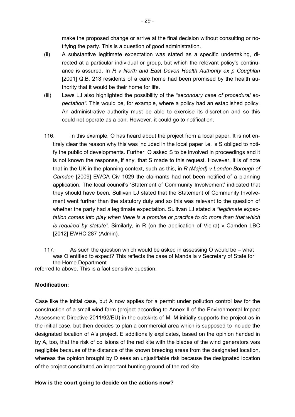make the proposed change or arrive at the final decision without consulting or notifying the party. This is a question of good administration.

- (ii) A substantive legitimate expectation was stated as a specific undertaking, directed at a particular individual or group, but which the relevant policy's continuance is assured. In *R v North and East Devon Health Authority ex p Coughlan*  [2001] Q.B. 213 residents of a care home had been promised by the health authority that it would be their home for life.
- (iii) Laws LJ also highlighted the possibility of the *"secondary case of procedural expectation"*. This would be, for example, where a policy had an established policy. An administrative authority must be able to exercise its discretion and so this could not operate as a ban. However, it could go to notification.
- 116. In this example, O has heard about the project from a local paper. It is not entirely clear the reason why this was included in the local paper i.e. is S obliged to notify the public of developments. Further, O asked S to be involved in proceedings and it is not known the response, if any, that S made to this request. However, it is of note that in the UK in the planning context, such as this, in *R (Majed) v London Borough of Camden* [2009] EWCA Civ 1029 the claimants had not been notified of a planning application. The local council's 'Statement of Community Involvement' indicated that they should have been. Sullivan LJ stated that the Statement of Community Involvement went further than the statutory duty and so this was relevant to the question of whether the party had a legitimate expectation. Sullivan LJ stated a *"legitimate expectation comes into play when there is a promise or practice to do more than that which is required by statute"*. Similarly, in R (on the application of Vieira) v Camden LBC [2012] EWHC 287 (Admin).
- 117. As such the question which would be asked in assessing O would be what was O entitled to expect? This reflects the case of Mandalia v Secretary of State for the Home Department

referred to above. This is a fact sensitive question.

#### **Modification:**

Case like the initial case, but A now applies for a permit under pollution control law for the construction of a small wind farm (project according to Annex II of the Environmental Impact Assessment Directive 2011/92/EU) in the outskirts of M. M initially supports the project as in the initial case, but then decides to plan a commercial area which is supposed to include the designated location of A's project. E additionally explicates, based on the opinion handed in by A, too, that the risk of collisions of the red kite with the blades of the wind generators was negligible because of the distance of the known breeding areas from the designated location, whereas the opinion brought by O sees an unjustifiable risk because the designated location of the project constituted an important hunting ground of the red kite.

#### **How is the court going to decide on the actions now?**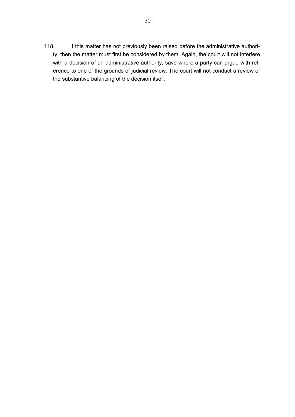118. If this matter has not previously been raised before the administrative authority, then the matter must first be considered by them. Again, the court will not interfere with a decision of an administrative authority, save where a party can argue with reference to one of the grounds of judicial review. The court will not conduct a review of the substantive balancing of the decision itself.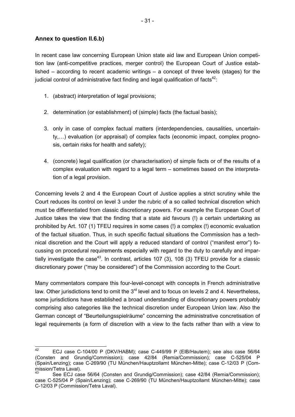### **Annex to question II.6.b)**

In recent case law concerning European Union state aid law and European Union competition law (anti-competitive practices, merger control) the European Court of Justice established – according to recent academic writings – a concept of three levels (stages) for the judicial control of administrative fact finding and legal qualification of facts $42$ :

- 1. (abstract) interpretation of legal provisions;
- 2. determination (or establishment) of (simple) facts (the factual basis);
- 3. only in case of complex factual matters (interdependencies, causalities, uncertainty,...) evaluation (or appraisal) of complex facts (economic impact, complex prognosis, certain risks for health and safety);
- 4. (concrete) legal qualification (or characterisation) of simple facts or of the results of a complex evaluation with regard to a legal term – sometimes based on the interpretation of a legal provision.

Concerning levels 2 and 4 the European Court of Justice applies a strict scrutiny while the Court reduces its control on level 3 under the rubric of a so called technical discretion which must be differentiated from classic discretionary powers. For example the European Court of Justice takes the view that the finding that a state aid favours (!) a certain undertaking as prohibited by Art. 107 (1) TFEU requires in some cases (!) a complex (!) economic evaluation of the factual situation. Thus, in such specific factual situations the Commission has a technical discretion and the Court will apply a reduced standard of control ("manifest error") focussing on procedural requirements especially with regard to the duty to carefully and impartially investigate the case<sup>43</sup>. In contrast, articles 107 (3), 108 (3) TFEU provide for a classic discretionary power ("may be considered") of the Commission according to the Court.

Many commentators compare this four-level-concept with concepts in French administrative law. Other jurisdictions tend to omit the  $3<sup>rd</sup>$  level and to focus on levels 2 and 4. Nevertheless, some jurisdictions have established a broad understanding of discretionary powers probably comprising also categories like the technical discretion under European Union law. Also the German concept of "Beurteilungsspielräume" concerning the administrative concretisation of legal requirements (a form of discretion with a view to the facts rather than with a view to

<sup>42</sup> <sup>42</sup> ECJ case C-104/00 P (DKV/HABM); case C-449/99 P (EIB/Hautem); see also case 56/64 (Consten and Grundig/Commission); case 42/84 (Remia/Commission); case C-525/04 P (Spain/Lenzing); case C-269/90 (TU München/Hauptzollamt München-Mitte); case C-12/03 P (Commission/Tetra Laval).

See ECJ case 56/64 (Consten and Grundig/Commission); case 42/84 (Remia/Commission); case C-525/04 P (Spain/Lenzing); case C-269/90 (TU München/Hauptzollamt München-Mitte); case C-12/03 P (Commission/Tetra Laval).